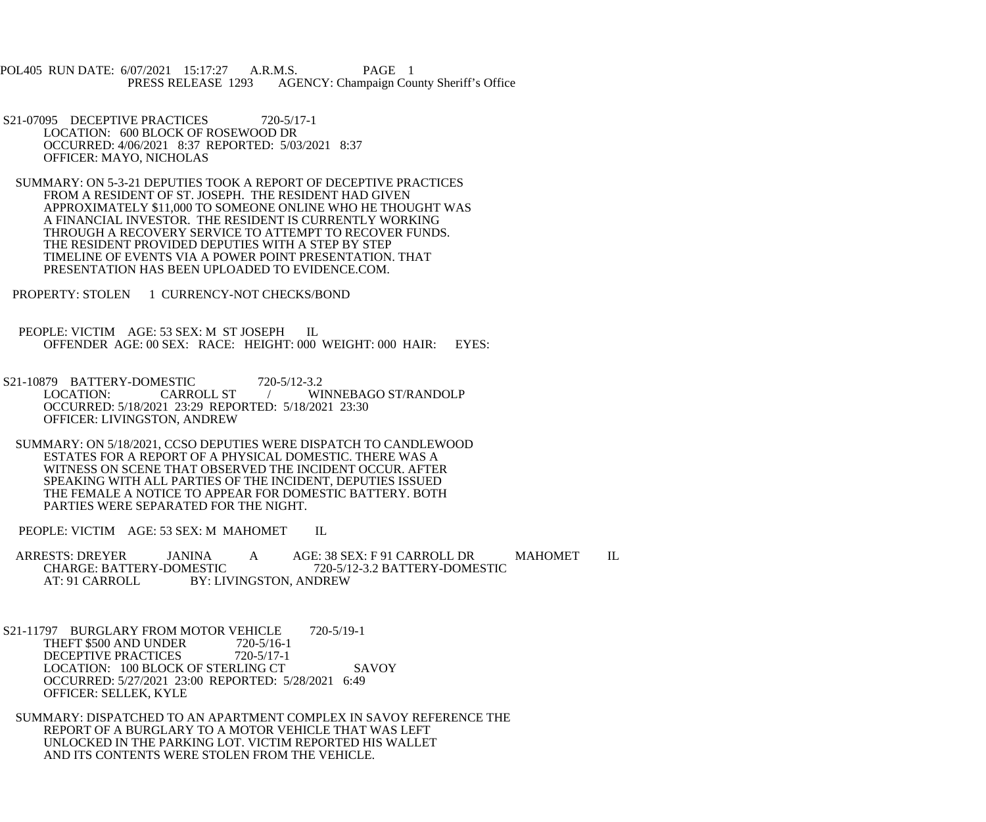POL405 RUN DATE: 6/07/2021 15:17:27 A.R.M.S. PAGE 1<br>PRESS RELEASE 1293 AGENCY: Champaign Cou AGENCY: Champaign County Sheriff's Office

- S21-07095 DECEPTIVE PRACTICES 720-5/17-1 LOCATION: 600 BLOCK OF ROSEWOOD DR OCCURRED: 4/06/2021 8:37 REPORTED: 5/03/2021 8:37 OFFICER: MAYO, NICHOLAS
- SUMMARY: ON 5-3-21 DEPUTIES TOOK A REPORT OF DECEPTIVE PRACTICES FROM A RESIDENT OF ST. JOSEPH. THE RESIDENT HAD GIVEN APPROXIMATELY \$11,000 TO SOMEONE ONLINE WHO HE THOUGHT WAS A FINANCIAL INVESTOR. THE RESIDENT IS CURRENTLY WORKING THROUGH A RECOVERY SERVICE TO ATTEMPT TO RECOVER FUNDS. THE RESIDENT PROVIDED DEPUTIES WITH A STEP BY STEP TIMELINE OF EVENTS VIA A POWER POINT PRESENTATION. THAT PRESENTATION HAS BEEN UPLOADED TO EVIDENCE.COM.
- PROPERTY: STOLEN 1 CURRENCY-NOT CHECKS/BOND
- PEOPLE: VICTIM AGE: 53 SEX: M ST JOSEPH IL OFFENDER AGE: 00 SEX: RACE: HEIGHT: 000 WEIGHT: 000 HAIR: EYES:
- S21-10879 BATTERY-DOMESTIC 720-5/12-3.2<br>LOCATION: CARROLL ST / WI / WINNEBAGO ST/RANDOLP OCCURRED: 5/18/2021 23:29 REPORTED: 5/18/2021 23:30 OFFICER: LIVINGSTON, ANDREW
- SUMMARY: ON 5/18/2021, CCSO DEPUTIES WERE DISPATCH TO CANDLEWOOD ESTATES FOR A REPORT OF A PHYSICAL DOMESTIC. THERE WAS A WITNESS ON SCENE THAT OBSERVED THE INCIDENT OCCUR. AFTER SPEAKING WITH ALL PARTIES OF THE INCIDENT, DEPUTIES ISSUED THE FEMALE A NOTICE TO APPEAR FOR DOMESTIC BATTERY. BOTH PARTIES WERE SEPARATED FOR THE NIGHT.
- PEOPLE: VICTIM AGE: 53 SEX: M MAHOMET IL
- ARRESTS: DREYER JANINA A AGE: 38 SEX: F 91 CARROLL DR MAHOMET IL<br>CHARGE: BATTERY-DOMESTIC 720-5/12-3.2 BATTERY-DOMESTIC CHARGE: BATTERY-DOMESTIC 720-5/12-3.2 BATTERY-DOMESTIC<br>AT: 91 CARROLL BY: LIVINGSTON. ANDREW BY: LIVINGSTON, ANDREW
- S21-11797 BURGLARY FROM MOTOR VEHICLE 720-5/19-1 THEFT \$500 AND UNDER 720-5/16-1<br>DECEPTIVE PRACTICES 720-5/17-1 DECEPTIVE PRACTICES LOCATION: 100 BLOCK OF STERLING CT SAVOY OCCURRED: 5/27/2021 23:00 REPORTED: 5/28/2021 6:49 OFFICER: SELLEK, KYLE
- SUMMARY: DISPATCHED TO AN APARTMENT COMPLEX IN SAVOY REFERENCE THE REPORT OF A BURGLARY TO A MOTOR VEHICLE THAT WAS LEFT UNLOCKED IN THE PARKING LOT. VICTIM REPORTED HIS WALLET AND ITS CONTENTS WERE STOLEN FROM THE VEHICLE.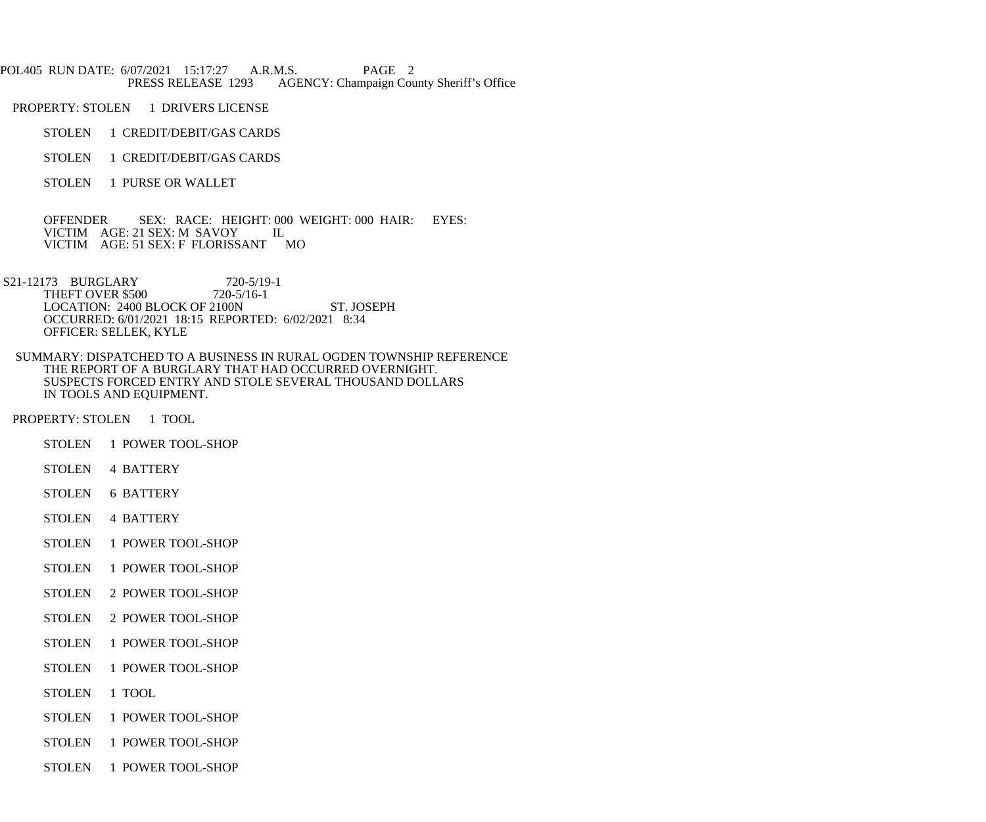POL405 RUN DATE: 6/07/2021 15:17:27 A.R.M.S. PAGE 2<br>PRESS RELEASE 1293 AGENCY: Champaign Cou AGENCY: Champaign County Sheriff's Office

PROPERTY: STOLEN 1 DRIVERS LICENSE

- STOLEN 1 CREDIT/DEBIT/GAS CARDS
- STOLEN 1 CREDIT/DEBIT/GAS CARDS
- STOLEN 1 PURSE OR WALLET

 OFFENDER SEX: RACE: HEIGHT: 000 WEIGHT: 000 HAIR: EYES: VICTIM AGE: 21 SEX: M SAVOY IL VICTIM AGE: 51 SEX: F FLORISSANT MO

S21-12173 BURGLARY 720-5/19-1<br>THEFT OVER \$500 720-5/16-1 THEFT OVER \$500 LOCATION: 2400 BLOCK OF 2100N ST. JOSEPH OCCURRED: 6/01/2021 18:15 REPORTED: 6/02/2021 8:34 OFFICER: SELLEK, KYLE

 SUMMARY: DISPATCHED TO A BUSINESS IN RURAL OGDEN TOWNSHIP REFERENCE THE REPORT OF A BURGLARY THAT HAD OCCURRED OVERNIGHT. SUSPECTS FORCED ENTRY AND STOLE SEVERAL THOUSAND DOLLARS IN TOOLS AND EQUIPMENT.

PROPERTY: STOLEN 1 TOOL

- STOLEN 1 POWER TOOL-SHOP
- STOLEN 4 BATTERY
- STOLEN 6 BATTERY
- STOLEN 4 BATTERY
- STOLEN 1 POWER TOOL-SHOP
- STOLEN 1 POWER TOOL-SHOP
- STOLEN 2 POWER TOOL-SHOP
- STOLEN 2 POWER TOOL-SHOP
- STOLEN 1 POWER TOOL-SHOP
- STOLEN 1 POWER TOOL-SHOP
- STOLEN 1 TOOL
- STOLEN 1 POWER TOOL-SHOP
- STOLEN 1 POWER TOOL-SHOP
- STOLEN 1 POWER TOOL-SHOP